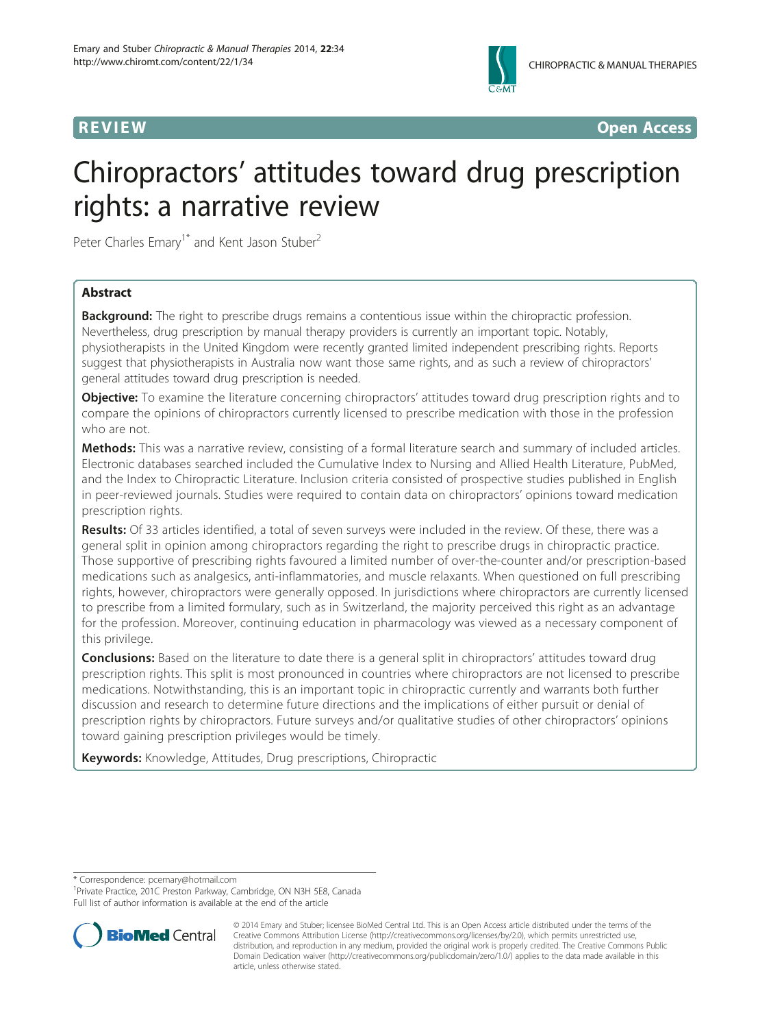

**REVIEW REVIEW CONSTRUCTER ACCESS** 

# Chiropractors' attitudes toward drug prescription rights: a narrative review

Peter Charles Emary<sup>1\*</sup> and Kent Jason Stuber<sup>2</sup>

# Abstract

**Background:** The right to prescribe drugs remains a contentious issue within the chiropractic profession. Nevertheless, drug prescription by manual therapy providers is currently an important topic. Notably, physiotherapists in the United Kingdom were recently granted limited independent prescribing rights. Reports suggest that physiotherapists in Australia now want those same rights, and as such a review of chiropractors' general attitudes toward drug prescription is needed.

**Objective:** To examine the literature concerning chiropractors' attitudes toward drug prescription rights and to compare the opinions of chiropractors currently licensed to prescribe medication with those in the profession who are not.

Methods: This was a narrative review, consisting of a formal literature search and summary of included articles. Electronic databases searched included the Cumulative Index to Nursing and Allied Health Literature, PubMed, and the Index to Chiropractic Literature. Inclusion criteria consisted of prospective studies published in English in peer-reviewed journals. Studies were required to contain data on chiropractors' opinions toward medication prescription rights.

Results: Of 33 articles identified, a total of seven surveys were included in the review. Of these, there was a general split in opinion among chiropractors regarding the right to prescribe drugs in chiropractic practice. Those supportive of prescribing rights favoured a limited number of over-the-counter and/or prescription-based medications such as analgesics, anti-inflammatories, and muscle relaxants. When questioned on full prescribing rights, however, chiropractors were generally opposed. In jurisdictions where chiropractors are currently licensed to prescribe from a limited formulary, such as in Switzerland, the majority perceived this right as an advantage for the profession. Moreover, continuing education in pharmacology was viewed as a necessary component of this privilege.

**Conclusions:** Based on the literature to date there is a general split in chiropractors' attitudes toward drug prescription rights. This split is most pronounced in countries where chiropractors are not licensed to prescribe medications. Notwithstanding, this is an important topic in chiropractic currently and warrants both further discussion and research to determine future directions and the implications of either pursuit or denial of prescription rights by chiropractors. Future surveys and/or qualitative studies of other chiropractors' opinions toward gaining prescription privileges would be timely.

Keywords: Knowledge, Attitudes, Drug prescriptions, Chiropractic

\* Correspondence: [pcemary@hotmail.com](mailto:pcemary@hotmail.com) <sup>1</sup>

<sup>1</sup> Private Practice, 201C Preston Parkway, Cambridge, ON N3H 5E8, Canada Full list of author information is available at the end of the article



<sup>© 2014</sup> Emary and Stuber; licensee BioMed Central Ltd. This is an Open Access article distributed under the terms of the Creative Commons Attribution License (<http://creativecommons.org/licenses/by/2.0>), which permits unrestricted use, distribution, and reproduction in any medium, provided the original work is properly credited. The Creative Commons Public Domain Dedication waiver [\(http://creativecommons.org/publicdomain/zero/1.0/\)](http://creativecommons.org/publicdomain/zero/1.0/) applies to the data made available in this article, unless otherwise stated.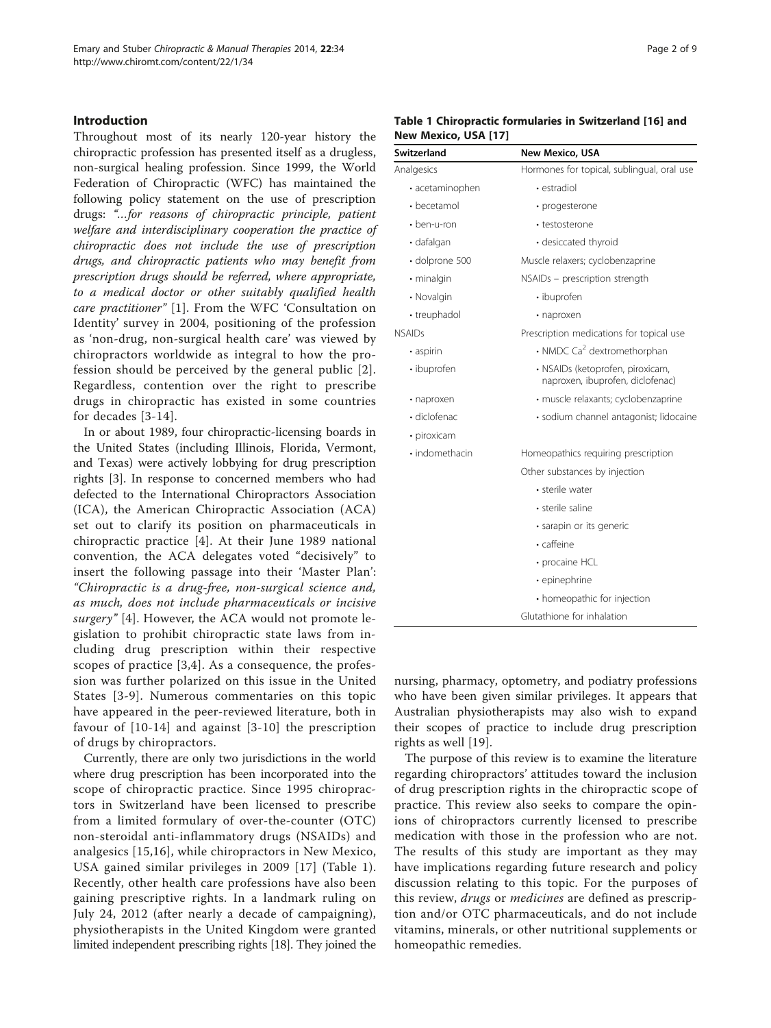# <span id="page-1-0"></span>Introduction

Throughout most of its nearly 120-year history the chiropractic profession has presented itself as a drugless, non-surgical healing profession. Since 1999, the World Federation of Chiropractic (WFC) has maintained the following policy statement on the use of prescription drugs: "…for reasons of chiropractic principle, patient welfare and interdisciplinary cooperation the practice of chiropractic does not include the use of prescription drugs, and chiropractic patients who may benefit from prescription drugs should be referred, where appropriate, to a medical doctor or other suitably qualified health care practitioner" [[1\]](#page-7-0). From the WFC 'Consultation on Identity' survey in 2004, positioning of the profession as 'non-drug, non-surgical health care' was viewed by chiropractors worldwide as integral to how the profession should be perceived by the general public [[2\]](#page-7-0). Regardless, contention over the right to prescribe drugs in chiropractic has existed in some countries for decades [[3](#page-7-0)-[14](#page-7-0)].

In or about 1989, four chiropractic-licensing boards in the United States (including Illinois, Florida, Vermont, and Texas) were actively lobbying for drug prescription rights [\[3](#page-7-0)]. In response to concerned members who had defected to the International Chiropractors Association (ICA), the American Chiropractic Association (ACA) set out to clarify its position on pharmaceuticals in chiropractic practice [[4\]](#page-7-0). At their June 1989 national convention, the ACA delegates voted "decisively" to insert the following passage into their 'Master Plan': "Chiropractic is a drug-free, non-surgical science and, as much, does not include pharmaceuticals or incisive surgery" [[4](#page-7-0)]. However, the ACA would not promote legislation to prohibit chiropractic state laws from including drug prescription within their respective scopes of practice [[3,4\]](#page-7-0). As a consequence, the profession was further polarized on this issue in the United States [[3-9\]](#page-7-0). Numerous commentaries on this topic have appeared in the peer-reviewed literature, both in favour of [[10-14\]](#page-7-0) and against [[3](#page-7-0)-[10](#page-7-0)] the prescription of drugs by chiropractors.

Currently, there are only two jurisdictions in the world where drug prescription has been incorporated into the scope of chiropractic practice. Since 1995 chiropractors in Switzerland have been licensed to prescribe from a limited formulary of over-the-counter (OTC) non-steroidal anti-inflammatory drugs (NSAIDs) and analgesics [[15,16\]](#page-7-0), while chiropractors in New Mexico, USA gained similar privileges in 2009 [\[17\]](#page-7-0) (Table 1). Recently, other health care professions have also been gaining prescriptive rights. In a landmark ruling on July 24, 2012 (after nearly a decade of campaigning), physiotherapists in the United Kingdom were granted limited independent prescribing rights [\[18](#page-7-0)]. They joined the

| Table 1 Chiropractic formularies in Switzerland [16] and |  |  |
|----------------------------------------------------------|--|--|
| New Mexico, USA [17]                                     |  |  |

| <b>Switzerland</b> | <b>New Mexico, USA</b>                                               |
|--------------------|----------------------------------------------------------------------|
| Analgesics         | Hormones for topical, sublingual, oral use                           |
| • acetaminophen    | • estradiol                                                          |
| $\cdot$ becetamol  | · progesterone                                                       |
| $\cdot$ ben-u-ron  | • testosterone                                                       |
| · dafalgan         | • desiccated thyroid                                                 |
| · dolprone 500     | Muscle relaxers; cyclobenzaprine                                     |
| · minalgin         | NSAIDs - prescription strength                                       |
| • Novalgin         | • ibuprofen                                                          |
| • treuphadol       | · naproxen                                                           |
| <b>NSAIDs</b>      | Prescription medications for topical use                             |
| · aspirin          | • NMDC Ca <sup>2</sup> dextromethorphan                              |
| · ibuprofen        | · NSAIDs (ketoprofen, piroxicam,<br>naproxen, ibuprofen, diclofenac) |
| • naproxen         | · muscle relaxants; cyclobenzaprine                                  |
| $\cdot$ diclofenac | · sodium channel antagonist; lidocaine                               |
| • piroxicam        |                                                                      |
| · indomethacin     | Homeopathics requiring prescription                                  |
|                    | Other substances by injection                                        |
|                    | • sterile water                                                      |
|                    | • sterile saline                                                     |
|                    | · sarapin or its generic                                             |
|                    | · caffeine                                                           |
|                    | • procaine HCL                                                       |
|                    | • epinephrine                                                        |
|                    | • homeopathic for injection                                          |
|                    | Glutathione for inhalation                                           |

nursing, pharmacy, optometry, and podiatry professions who have been given similar privileges. It appears that Australian physiotherapists may also wish to expand their scopes of practice to include drug prescription rights as well [[19\]](#page-7-0).

The purpose of this review is to examine the literature regarding chiropractors' attitudes toward the inclusion of drug prescription rights in the chiropractic scope of practice. This review also seeks to compare the opinions of chiropractors currently licensed to prescribe medication with those in the profession who are not. The results of this study are important as they may have implications regarding future research and policy discussion relating to this topic. For the purposes of this review, drugs or medicines are defined as prescription and/or OTC pharmaceuticals, and do not include vitamins, minerals, or other nutritional supplements or homeopathic remedies.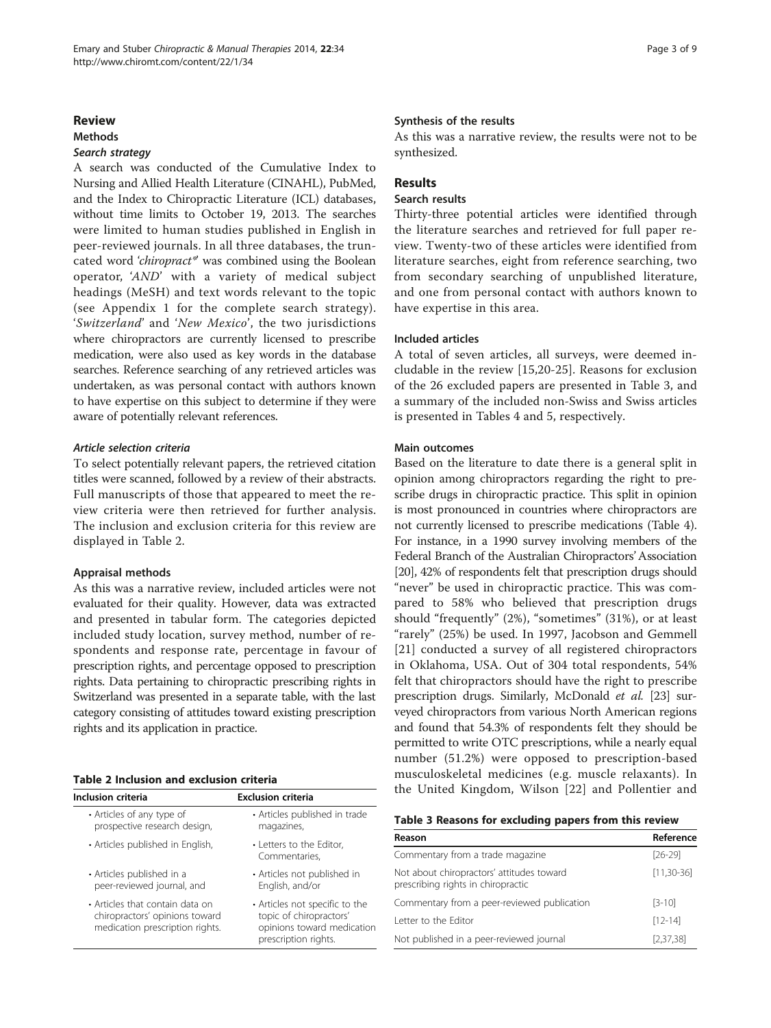### Review

# Methods

A search was conducted of the Cumulative Index to Nursing and Allied Health Literature (CINAHL), PubMed, and the Index to Chiropractic Literature (ICL) databases, without time limits to October 19, 2013. The searches were limited to human studies published in English in peer-reviewed journals. In all three databases, the truncated word 'chiropract\*' was combined using the Boolean operator, 'AND' with a variety of medical subject headings (MeSH) and text words relevant to the topic (see [Appendix 1](#page-7-0) for the complete search strategy). 'Switzerland' and 'New Mexico', the two jurisdictions where chiropractors are currently licensed to prescribe medication, were also used as key words in the database searches. Reference searching of any retrieved articles was undertaken, as was personal contact with authors known to have expertise on this subject to determine if they were aware of potentially relevant references.

To select potentially relevant papers, the retrieved citation titles were scanned, followed by a review of their abstracts. Full manuscripts of those that appeared to meet the review criteria were then retrieved for further analysis. The inclusion and exclusion criteria for this review are displayed in Table 2.

#### Appraisal methods

As this was a narrative review, included articles were not evaluated for their quality. However, data was extracted and presented in tabular form. The categories depicted included study location, survey method, number of respondents and response rate, percentage in favour of prescription rights, and percentage opposed to prescription rights. Data pertaining to chiropractic prescribing rights in Switzerland was presented in a separate table, with the last category consisting of attitudes toward existing prescription rights and its application in practice.

|  |  | Table 2 Inclusion and exclusion criteria |  |
|--|--|------------------------------------------|--|
|  |  |                                          |  |

| Inclusion criteria                                                                                   | <b>Exclusion criteria</b>                                                                                       |  |  |
|------------------------------------------------------------------------------------------------------|-----------------------------------------------------------------------------------------------------------------|--|--|
| • Articles of any type of<br>prospective research design,                                            | • Articles published in trade<br>magazines,                                                                     |  |  |
| • Articles published in English,                                                                     | • Letters to the Editor,<br>Commentaries.                                                                       |  |  |
| • Articles published in a<br>peer-reviewed journal, and                                              | • Articles not published in<br>English, and/or                                                                  |  |  |
| • Articles that contain data on<br>chiropractors' opinions toward<br>medication prescription rights. | • Articles not specific to the<br>topic of chiropractors'<br>opinions toward medication<br>prescription rights. |  |  |

### Synthesis of the results

As this was a narrative review, the results were not to be synthesized.

# Results

# Search results

Thirty-three potential articles were identified through the literature searches and retrieved for full paper review. Twenty-two of these articles were identified from literature searches, eight from reference searching, two from secondary searching of unpublished literature, and one from personal contact with authors known to have expertise in this area.

### Included articles

A total of seven articles, all surveys, were deemed includable in the review [\[15](#page-7-0),[20-25](#page-7-0)]. Reasons for exclusion of the 26 excluded papers are presented in Table 3, and a summary of the included non-Swiss and Swiss articles is presented in Tables [4](#page-3-0) and [5](#page-4-0), respectively.

### Main outcomes

Based on the literature to date there is a general split in opinion among chiropractors regarding the right to prescribe drugs in chiropractic practice. This split in opinion is most pronounced in countries where chiropractors are not currently licensed to prescribe medications (Table [4](#page-3-0)). For instance, in a 1990 survey involving members of the Federal Branch of the Australian Chiropractors' Association [[20](#page-7-0)], 42% of respondents felt that prescription drugs should "never" be used in chiropractic practice. This was compared to 58% who believed that prescription drugs should "frequently" (2%), "sometimes" (31%), or at least "rarely" (25%) be used. In 1997, Jacobson and Gemmell [[21\]](#page-7-0) conducted a survey of all registered chiropractors in Oklahoma, USA. Out of 304 total respondents, 54% felt that chiropractors should have the right to prescribe prescription drugs. Similarly, McDonald et al. [\[23\]](#page-7-0) surveyed chiropractors from various North American regions and found that 54.3% of respondents felt they should be permitted to write OTC prescriptions, while a nearly equal number (51.2%) were opposed to prescription-based musculoskeletal medicines (e.g. muscle relaxants). In the United Kingdom, Wilson [[22\]](#page-7-0) and Pollentier and

| Table 3 Reasons for excluding papers from this review |  |  |  |
|-------------------------------------------------------|--|--|--|
|-------------------------------------------------------|--|--|--|

| Reason                                                                          | Reference       |  |
|---------------------------------------------------------------------------------|-----------------|--|
| Commentary from a trade magazine                                                | $[26-29]$       |  |
| Not about chiropractors' attitudes toward<br>prescribing rights in chiropractic | $[11, 30 - 36]$ |  |
| Commentary from a peer-reviewed publication                                     | $[3-10]$        |  |
| Letter to the Editor                                                            | $[12 - 14]$     |  |
| Not published in a peer-reviewed journal                                        | [2,37,38]       |  |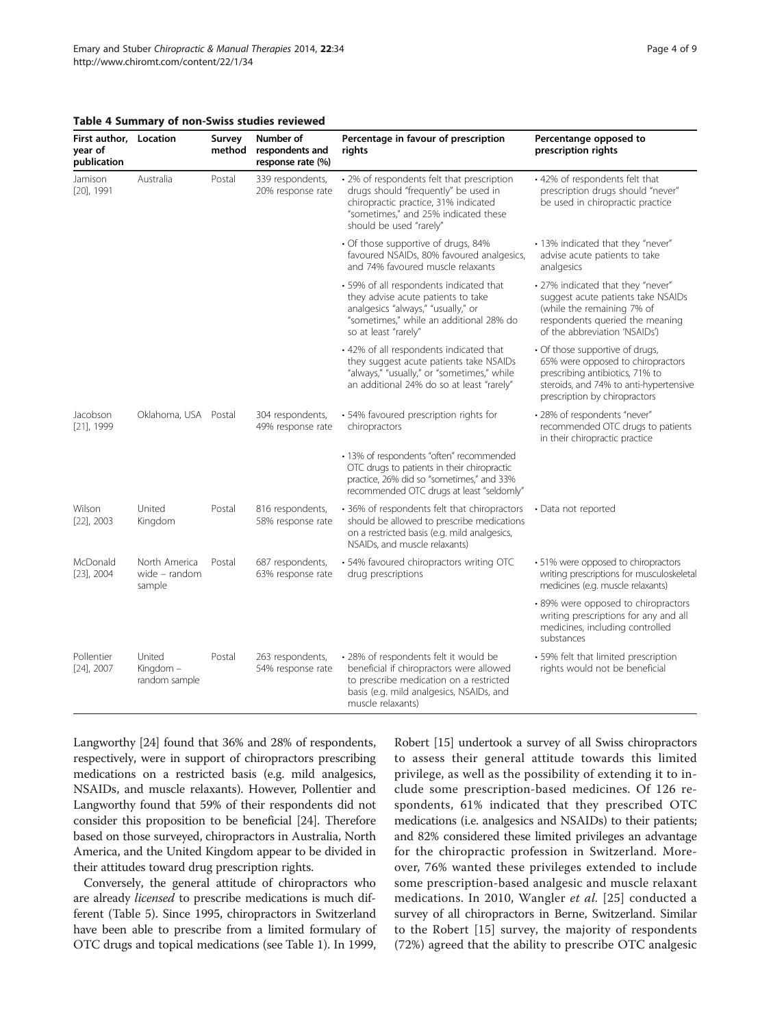| First author, Location<br>year of<br>publication |                                          | Survey<br>method | Number of<br>respondents and<br>response rate (%)                                                                                                                                      | Percentage in favour of prescription<br>rights                                                                                                                                                | Percentange opposed to<br>prescription rights                                                                                 |
|--------------------------------------------------|------------------------------------------|------------------|----------------------------------------------------------------------------------------------------------------------------------------------------------------------------------------|-----------------------------------------------------------------------------------------------------------------------------------------------------------------------------------------------|-------------------------------------------------------------------------------------------------------------------------------|
| Jamison<br>$[20]$ , 1991                         | Australia                                | Postal           | 339 respondents,<br>20% response rate                                                                                                                                                  | • 2% of respondents felt that prescription<br>drugs should "frequently" be used in<br>chiropractic practice, 31% indicated<br>"sometimes," and 25% indicated these<br>should be used "rarely" | • 42% of respondents felt that<br>prescription drugs should "never"<br>be used in chiropractic practice                       |
|                                                  |                                          |                  |                                                                                                                                                                                        | · Of those supportive of drugs, 84%<br>favoured NSAIDs, 80% favoured analgesics,<br>and 74% favoured muscle relaxants                                                                         | • 13% indicated that they "never"<br>advise acute patients to take<br>analgesics                                              |
|                                                  |                                          |                  | · 59% of all respondents indicated that<br>they advise acute patients to take<br>analgesics "always," "usually," or<br>"sometimes," while an additional 28% do<br>so at least "rarely" | • 27% indicated that they "never"<br>suggest acute patients take NSAIDs<br>(while the remaining 7% of<br>respondents queried the meaning<br>of the abbreviation 'NSAIDs')                     |                                                                                                                               |
|                                                  |                                          |                  | · 42% of all respondents indicated that<br>they suggest acute patients take NSAIDs<br>"always," "usually," or "sometimes," while<br>an additional 24% do so at least "rarely"          | • Of those supportive of drugs,<br>65% were opposed to chiropractors<br>prescribing antibiotics, 71% to<br>steroids, and 74% to anti-hypertensive<br>prescription by chiropractors            |                                                                                                                               |
| Jacobson<br>$[21]$ , 1999                        | Oklahoma, USA Postal                     |                  | 304 respondents,<br>49% response rate                                                                                                                                                  | · 54% favoured prescription rights for<br>chiropractors                                                                                                                                       | • 28% of respondents "never"<br>recommended OTC drugs to patients<br>in their chiropractic practice                           |
|                                                  |                                          |                  |                                                                                                                                                                                        | · 13% of respondents "often" recommended<br>OTC drugs to patients in their chiropractic<br>practice, 26% did so "sometimes," and 33%<br>recommended OTC drugs at least "seldomly"             |                                                                                                                               |
| Wilson<br>$[22]$ , 2003                          | United<br>Kingdom                        | Postal           | 816 respondents,<br>58% response rate                                                                                                                                                  | • 36% of respondents felt that chiropractors<br>should be allowed to prescribe medications<br>on a restricted basis (e.g. mild analgesics,<br>NSAIDs, and muscle relaxants)                   | • Data not reported                                                                                                           |
| McDonald<br>$[23]$ , 2004                        | North America<br>wide - random<br>sample | Postal           | 687 respondents,<br>63% response rate                                                                                                                                                  | · 54% favoured chiropractors writing OTC<br>drug prescriptions                                                                                                                                | · 51% were opposed to chiropractors<br>writing prescriptions for musculoskeletal<br>medicines (e.g. muscle relaxants)         |
|                                                  |                                          |                  |                                                                                                                                                                                        |                                                                                                                                                                                               | · 89% were opposed to chiropractors<br>writing prescriptions for any and all<br>medicines, including controlled<br>substances |
| Pollentier<br>$[24]$ , 2007                      | United<br>Kingdom –<br>random sample     | Postal           | 263 respondents,<br>54% response rate                                                                                                                                                  | · 28% of respondents felt it would be<br>beneficial if chiropractors were allowed<br>to prescribe medication on a restricted<br>basis (e.g. mild analgesics, NSAIDs, and<br>muscle relaxants) | · 59% felt that limited prescription<br>rights would not be beneficial                                                        |

# <span id="page-3-0"></span>Table 4 Summary of non-Swiss studies reviewed

Langworthy [[24](#page-7-0)] found that 36% and 28% of respondents, respectively, were in support of chiropractors prescribing medications on a restricted basis (e.g. mild analgesics, NSAIDs, and muscle relaxants). However, Pollentier and Langworthy found that 59% of their respondents did not consider this proposition to be beneficial [\[24\]](#page-7-0). Therefore based on those surveyed, chiropractors in Australia, North America, and the United Kingdom appear to be divided in their attitudes toward drug prescription rights.

Conversely, the general attitude of chiropractors who are already licensed to prescribe medications is much different (Table [5](#page-4-0)). Since 1995, chiropractors in Switzerland have been able to prescribe from a limited formulary of OTC drugs and topical medications (see Table [1\)](#page-1-0). In 1999,

Robert [\[15\]](#page-7-0) undertook a survey of all Swiss chiropractors to assess their general attitude towards this limited privilege, as well as the possibility of extending it to include some prescription-based medicines. Of 126 respondents, 61% indicated that they prescribed OTC medications (i.e. analgesics and NSAIDs) to their patients; and 82% considered these limited privileges an advantage for the chiropractic profession in Switzerland. Moreover, 76% wanted these privileges extended to include some prescription-based analgesic and muscle relaxant medications. In 2010, Wangler et al. [\[25\]](#page-7-0) conducted a survey of all chiropractors in Berne, Switzerland. Similar to the Robert [[15\]](#page-7-0) survey, the majority of respondents (72%) agreed that the ability to prescribe OTC analgesic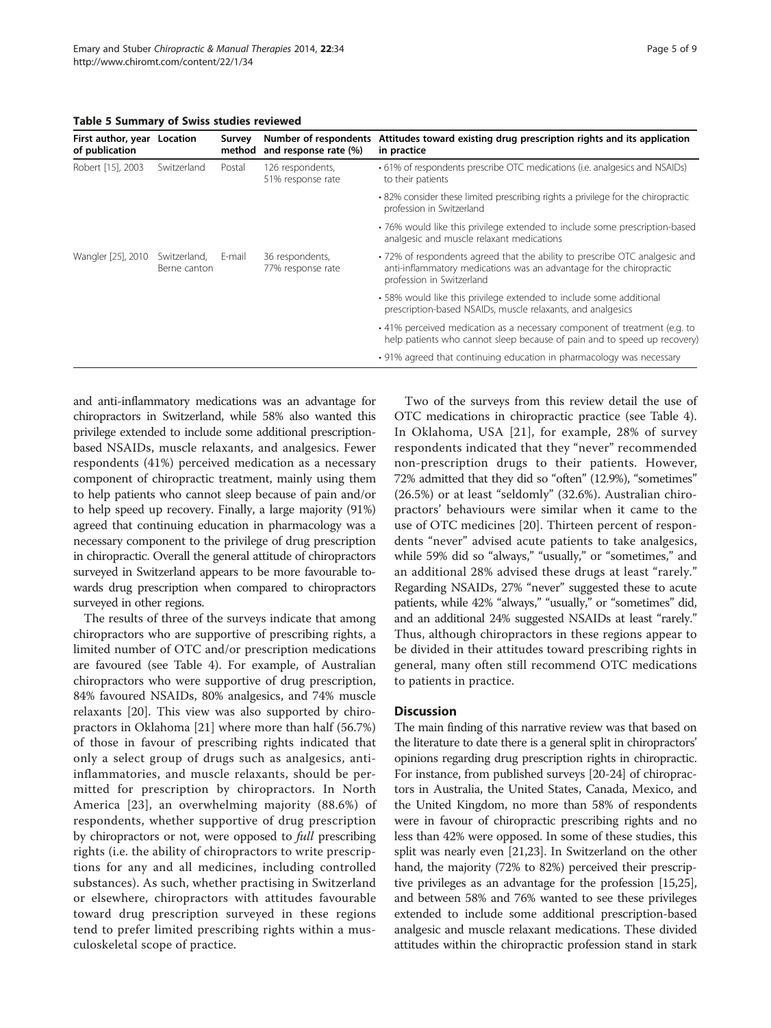<span id="page-4-0"></span>Table 5 Summary of Swiss studies reviewed

| First author, year<br>of publication | Location                     | Survey<br>method | Number of respondents<br>and response rate (%) | Attitudes toward existing drug prescription rights and its application<br>in practice                                                                                          |
|--------------------------------------|------------------------------|------------------|------------------------------------------------|--------------------------------------------------------------------------------------------------------------------------------------------------------------------------------|
| Robert [15], 2003                    | Switzerland                  | Postal           | 126 respondents,<br>51% response rate          | • 61% of respondents prescribe OTC medications (i.e. analgesics and NSAIDs)<br>to their patients                                                                               |
|                                      |                              |                  |                                                | .82% consider these limited prescribing rights a privilege for the chiropractic<br>profession in Switzerland                                                                   |
|                                      |                              |                  |                                                | •76% would like this privilege extended to include some prescription-based<br>analgesic and muscle relaxant medications                                                        |
| Wangler [25], 2010                   | Switzerland,<br>Berne canton | E-mail           | 36 respondents,<br>77% response rate           | •72% of respondents agreed that the ability to prescribe OTC analgesic and<br>anti-inflammatory medications was an advantage for the chiropractic<br>profession in Switzerland |
|                                      |                              |                  |                                                | • 58% would like this privilege extended to include some additional<br>prescription-based NSAIDs, muscle relaxants, and analgesics                                             |
|                                      |                              |                  |                                                | • 41% perceived medication as a necessary component of treatment (e.g. to<br>help patients who cannot sleep because of pain and to speed up recovery)                          |
|                                      |                              |                  |                                                | • 91% agreed that continuing education in pharmacology was necessary                                                                                                           |

and anti-inflammatory medications was an advantage for chiropractors in Switzerland, while 58% also wanted this privilege extended to include some additional prescriptionbased NSAIDs, muscle relaxants, and analgesics. Fewer respondents (41%) perceived medication as a necessary component of chiropractic treatment, mainly using them to help patients who cannot sleep because of pain and/or to help speed up recovery. Finally, a large majority (91%) agreed that continuing education in pharmacology was a necessary component to the privilege of drug prescription in chiropractic. Overall the general attitude of chiropractors surveyed in Switzerland appears to be more favourable towards drug prescription when compared to chiropractors surveyed in other regions.

The results of three of the surveys indicate that among chiropractors who are supportive of prescribing rights, a limited number of OTC and/or prescription medications are favoured (see Table [4\)](#page-3-0). For example, of Australian chiropractors who were supportive of drug prescription, 84% favoured NSAIDs, 80% analgesics, and 74% muscle relaxants [\[20](#page-7-0)]. This view was also supported by chiropractors in Oklahoma [[21\]](#page-7-0) where more than half (56.7%) of those in favour of prescribing rights indicated that only a select group of drugs such as analgesics, antiinflammatories, and muscle relaxants, should be permitted for prescription by chiropractors. In North America [[23\]](#page-7-0), an overwhelming majority (88.6%) of respondents, whether supportive of drug prescription by chiropractors or not, were opposed to full prescribing rights (i.e. the ability of chiropractors to write prescriptions for any and all medicines, including controlled substances). As such, whether practising in Switzerland or elsewhere, chiropractors with attitudes favourable toward drug prescription surveyed in these regions tend to prefer limited prescribing rights within a musculoskeletal scope of practice.

Two of the surveys from this review detail the use of OTC medications in chiropractic practice (see Table [4](#page-3-0)). In Oklahoma, USA [[21](#page-7-0)], for example, 28% of survey respondents indicated that they "never" recommended non-prescription drugs to their patients. However, 72% admitted that they did so "often" (12.9%), "sometimes" (26.5%) or at least "seldomly" (32.6%). Australian chiropractors' behaviours were similar when it came to the use of OTC medicines [\[20](#page-7-0)]. Thirteen percent of respondents "never" advised acute patients to take analgesics, while 59% did so "always," "usually," or "sometimes," and an additional 28% advised these drugs at least "rarely." Regarding NSAIDs, 27% "never" suggested these to acute patients, while 42% "always," "usually," or "sometimes" did, and an additional 24% suggested NSAIDs at least "rarely." Thus, although chiropractors in these regions appear to be divided in their attitudes toward prescribing rights in general, many often still recommend OTC medications to patients in practice.

# **Discussion**

The main finding of this narrative review was that based on the literature to date there is a general split in chiropractors' opinions regarding drug prescription rights in chiropractic. For instance, from published surveys [[20-24\]](#page-7-0) of chiropractors in Australia, the United States, Canada, Mexico, and the United Kingdom, no more than 58% of respondents were in favour of chiropractic prescribing rights and no less than 42% were opposed. In some of these studies, this split was nearly even [[21](#page-7-0),[23](#page-7-0)]. In Switzerland on the other hand, the majority (72% to 82%) perceived their prescriptive privileges as an advantage for the profession [\[15,25](#page-7-0)], and between 58% and 76% wanted to see these privileges extended to include some additional prescription-based analgesic and muscle relaxant medications. These divided attitudes within the chiropractic profession stand in stark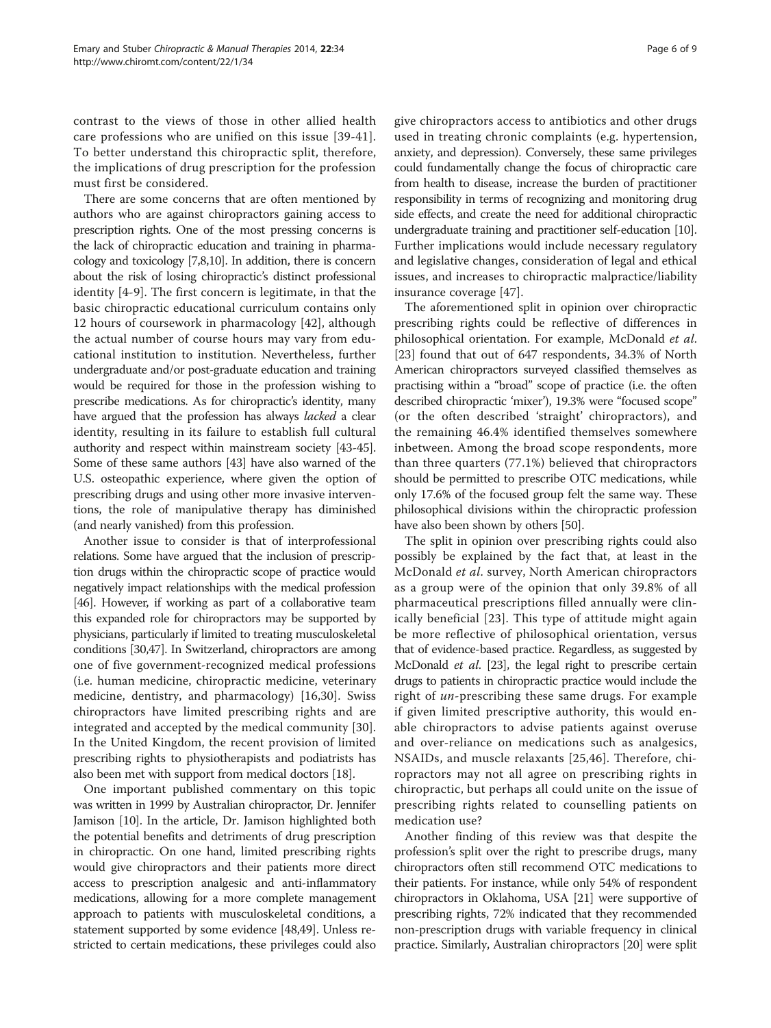contrast to the views of those in other allied health care professions who are unified on this issue [[39](#page-8-0)-[41\]](#page-8-0). To better understand this chiropractic split, therefore, the implications of drug prescription for the profession must first be considered.

There are some concerns that are often mentioned by authors who are against chiropractors gaining access to prescription rights. One of the most pressing concerns is the lack of chiropractic education and training in pharmacology and toxicology [\[7,8,10\]](#page-7-0). In addition, there is concern about the risk of losing chiropractic's distinct professional identity [\[4-9](#page-7-0)]. The first concern is legitimate, in that the basic chiropractic educational curriculum contains only 12 hours of coursework in pharmacology [\[42](#page-8-0)], although the actual number of course hours may vary from educational institution to institution. Nevertheless, further undergraduate and/or post-graduate education and training would be required for those in the profession wishing to prescribe medications. As for chiropractic's identity, many have argued that the profession has always lacked a clear identity, resulting in its failure to establish full cultural authority and respect within mainstream society [[43](#page-8-0)-[45](#page-8-0)]. Some of these same authors [[43](#page-8-0)] have also warned of the U.S. osteopathic experience, where given the option of prescribing drugs and using other more invasive interventions, the role of manipulative therapy has diminished (and nearly vanished) from this profession.

Another issue to consider is that of interprofessional relations. Some have argued that the inclusion of prescription drugs within the chiropractic scope of practice would negatively impact relationships with the medical profession [[46](#page-8-0)]. However, if working as part of a collaborative team this expanded role for chiropractors may be supported by physicians, particularly if limited to treating musculoskeletal conditions [\[30,](#page-7-0)[47](#page-8-0)]. In Switzerland, chiropractors are among one of five government-recognized medical professions (i.e. human medicine, chiropractic medicine, veterinary medicine, dentistry, and pharmacology) [[16,30\]](#page-7-0). Swiss chiropractors have limited prescribing rights and are integrated and accepted by the medical community [\[30](#page-7-0)]. In the United Kingdom, the recent provision of limited prescribing rights to physiotherapists and podiatrists has also been met with support from medical doctors [[18](#page-7-0)].

One important published commentary on this topic was written in 1999 by Australian chiropractor, Dr. Jennifer Jamison [\[10\]](#page-7-0). In the article, Dr. Jamison highlighted both the potential benefits and detriments of drug prescription in chiropractic. On one hand, limited prescribing rights would give chiropractors and their patients more direct access to prescription analgesic and anti-inflammatory medications, allowing for a more complete management approach to patients with musculoskeletal conditions, a statement supported by some evidence [[48,49](#page-8-0)]. Unless restricted to certain medications, these privileges could also

give chiropractors access to antibiotics and other drugs used in treating chronic complaints (e.g. hypertension, anxiety, and depression). Conversely, these same privileges could fundamentally change the focus of chiropractic care from health to disease, increase the burden of practitioner responsibility in terms of recognizing and monitoring drug side effects, and create the need for additional chiropractic undergraduate training and practitioner self-education [\[10](#page-7-0)]. Further implications would include necessary regulatory and legislative changes, consideration of legal and ethical issues, and increases to chiropractic malpractice/liability insurance coverage [\[47](#page-8-0)].

The aforementioned split in opinion over chiropractic prescribing rights could be reflective of differences in philosophical orientation. For example, McDonald et al. [[23\]](#page-7-0) found that out of 647 respondents, 34.3% of North American chiropractors surveyed classified themselves as practising within a "broad" scope of practice (i.e. the often described chiropractic 'mixer'), 19.3% were "focused scope" (or the often described 'straight' chiropractors), and the remaining 46.4% identified themselves somewhere inbetween. Among the broad scope respondents, more than three quarters (77.1%) believed that chiropractors should be permitted to prescribe OTC medications, while only 17.6% of the focused group felt the same way. These philosophical divisions within the chiropractic profession have also been shown by others [[50](#page-8-0)].

The split in opinion over prescribing rights could also possibly be explained by the fact that, at least in the McDonald et al. survey, North American chiropractors as a group were of the opinion that only 39.8% of all pharmaceutical prescriptions filled annually were clinically beneficial [\[23\]](#page-7-0). This type of attitude might again be more reflective of philosophical orientation, versus that of evidence-based practice. Regardless, as suggested by McDonald *et al.* [\[23\]](#page-7-0), the legal right to prescribe certain drugs to patients in chiropractic practice would include the right of un-prescribing these same drugs. For example if given limited prescriptive authority, this would enable chiropractors to advise patients against overuse and over-reliance on medications such as analgesics, NSAIDs, and muscle relaxants [[25,](#page-7-0)[46](#page-8-0)]. Therefore, chiropractors may not all agree on prescribing rights in chiropractic, but perhaps all could unite on the issue of prescribing rights related to counselling patients on medication use?

Another finding of this review was that despite the profession's split over the right to prescribe drugs, many chiropractors often still recommend OTC medications to their patients. For instance, while only 54% of respondent chiropractors in Oklahoma, USA [\[21\]](#page-7-0) were supportive of prescribing rights, 72% indicated that they recommended non-prescription drugs with variable frequency in clinical practice. Similarly, Australian chiropractors [\[20](#page-7-0)] were split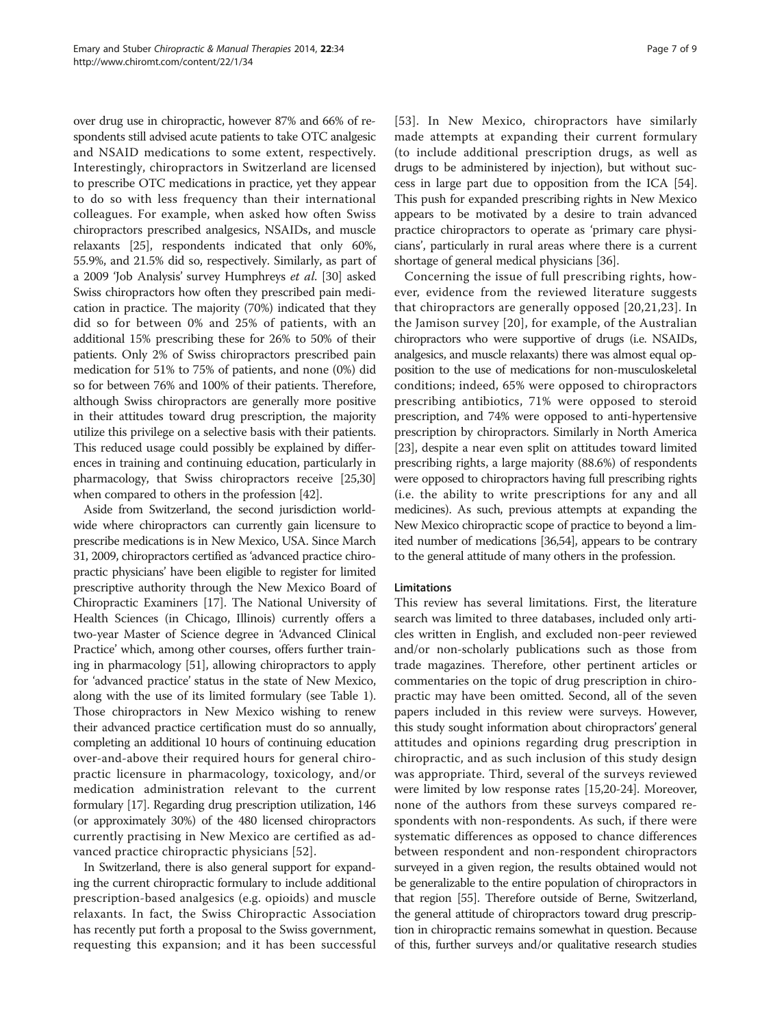over drug use in chiropractic, however 87% and 66% of respondents still advised acute patients to take OTC analgesic and NSAID medications to some extent, respectively. Interestingly, chiropractors in Switzerland are licensed to prescribe OTC medications in practice, yet they appear to do so with less frequency than their international colleagues. For example, when asked how often Swiss chiropractors prescribed analgesics, NSAIDs, and muscle relaxants [\[25\]](#page-7-0), respondents indicated that only 60%, 55.9%, and 21.5% did so, respectively. Similarly, as part of a 2009 'Job Analysis' survey Humphreys et al. [[30](#page-7-0)] asked Swiss chiropractors how often they prescribed pain medication in practice. The majority (70%) indicated that they did so for between 0% and 25% of patients, with an additional 15% prescribing these for 26% to 50% of their patients. Only 2% of Swiss chiropractors prescribed pain medication for 51% to 75% of patients, and none (0%) did so for between 76% and 100% of their patients. Therefore, although Swiss chiropractors are generally more positive in their attitudes toward drug prescription, the majority utilize this privilege on a selective basis with their patients. This reduced usage could possibly be explained by differences in training and continuing education, particularly in pharmacology, that Swiss chiropractors receive [\[25,30](#page-7-0)] when compared to others in the profession [\[42\]](#page-8-0).

Aside from Switzerland, the second jurisdiction worldwide where chiropractors can currently gain licensure to prescribe medications is in New Mexico, USA. Since March 31, 2009, chiropractors certified as 'advanced practice chiropractic physicians' have been eligible to register for limited prescriptive authority through the New Mexico Board of Chiropractic Examiners [\[17\]](#page-7-0). The National University of Health Sciences (in Chicago, Illinois) currently offers a two-year Master of Science degree in 'Advanced Clinical Practice' which, among other courses, offers further training in pharmacology [\[51\]](#page-8-0), allowing chiropractors to apply for 'advanced practice' status in the state of New Mexico, along with the use of its limited formulary (see Table [1](#page-1-0)). Those chiropractors in New Mexico wishing to renew their advanced practice certification must do so annually, completing an additional 10 hours of continuing education over-and-above their required hours for general chiropractic licensure in pharmacology, toxicology, and/or medication administration relevant to the current formulary [\[17\]](#page-7-0). Regarding drug prescription utilization, 146 (or approximately 30%) of the 480 licensed chiropractors currently practising in New Mexico are certified as advanced practice chiropractic physicians [[52](#page-8-0)].

In Switzerland, there is also general support for expanding the current chiropractic formulary to include additional prescription-based analgesics (e.g. opioids) and muscle relaxants. In fact, the Swiss Chiropractic Association has recently put forth a proposal to the Swiss government, requesting this expansion; and it has been successful

[[53](#page-8-0)]. In New Mexico, chiropractors have similarly made attempts at expanding their current formulary (to include additional prescription drugs, as well as drugs to be administered by injection), but without success in large part due to opposition from the ICA [[54](#page-8-0)]. This push for expanded prescribing rights in New Mexico appears to be motivated by a desire to train advanced practice chiropractors to operate as 'primary care physicians', particularly in rural areas where there is a current shortage of general medical physicians [[36](#page-8-0)].

Concerning the issue of full prescribing rights, however, evidence from the reviewed literature suggests that chiropractors are generally opposed [[20](#page-7-0),[21](#page-7-0),[23\]](#page-7-0). In the Jamison survey [[20](#page-7-0)], for example, of the Australian chiropractors who were supportive of drugs (i.e. NSAIDs, analgesics, and muscle relaxants) there was almost equal opposition to the use of medications for non-musculoskeletal conditions; indeed, 65% were opposed to chiropractors prescribing antibiotics, 71% were opposed to steroid prescription, and 74% were opposed to anti-hypertensive prescription by chiropractors. Similarly in North America [[23](#page-7-0)], despite a near even split on attitudes toward limited prescribing rights, a large majority (88.6%) of respondents were opposed to chiropractors having full prescribing rights (i.e. the ability to write prescriptions for any and all medicines). As such, previous attempts at expanding the New Mexico chiropractic scope of practice to beyond a limited number of medications [\[36,54](#page-8-0)], appears to be contrary to the general attitude of many others in the profession.

# Limitations

This review has several limitations. First, the literature search was limited to three databases, included only articles written in English, and excluded non-peer reviewed and/or non-scholarly publications such as those from trade magazines. Therefore, other pertinent articles or commentaries on the topic of drug prescription in chiropractic may have been omitted. Second, all of the seven papers included in this review were surveys. However, this study sought information about chiropractors' general attitudes and opinions regarding drug prescription in chiropractic, and as such inclusion of this study design was appropriate. Third, several of the surveys reviewed were limited by low response rates [[15,20-24](#page-7-0)]. Moreover, none of the authors from these surveys compared respondents with non-respondents. As such, if there were systematic differences as opposed to chance differences between respondent and non-respondent chiropractors surveyed in a given region, the results obtained would not be generalizable to the entire population of chiropractors in that region [\[55\]](#page-8-0). Therefore outside of Berne, Switzerland, the general attitude of chiropractors toward drug prescription in chiropractic remains somewhat in question. Because of this, further surveys and/or qualitative research studies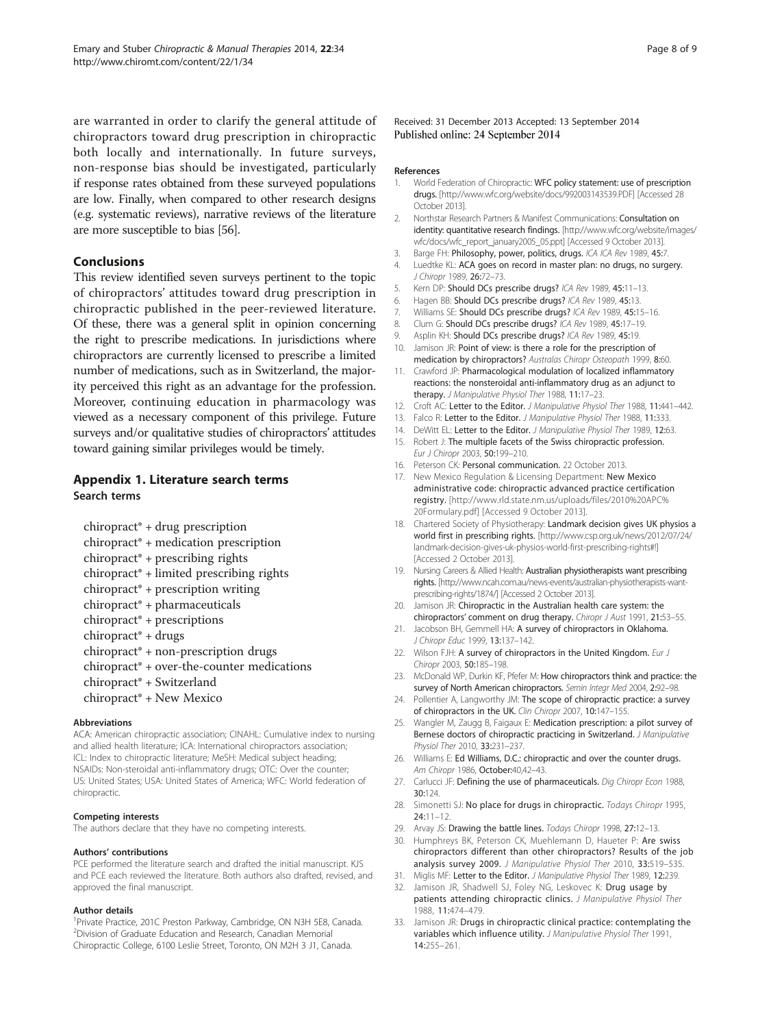<span id="page-7-0"></span>are warranted in order to clarify the general attitude of chiropractors toward drug prescription in chiropractic both locally and internationally. In future surveys, non-response bias should be investigated, particularly if response rates obtained from these surveyed populations are low. Finally, when compared to other research designs (e.g. systematic reviews), narrative reviews of the literature are more susceptible to bias [\[56\]](#page-8-0).

# Conclusions

This review identified seven surveys pertinent to the topic of chiropractors' attitudes toward drug prescription in chiropractic published in the peer-reviewed literature. Of these, there was a general split in opinion concerning the right to prescribe medications. In jurisdictions where chiropractors are currently licensed to prescribe a limited number of medications, such as in Switzerland, the majority perceived this right as an advantage for the profession. Moreover, continuing education in pharmacology was viewed as a necessary component of this privilege. Future surveys and/or qualitative studies of chiropractors' attitudes toward gaining similar privileges would be timely.

# Appendix 1. Literature search terms Search terms

- chiropract\* + drug prescription
- chiropract\* + medication prescription
- chiropract\* + prescribing rights
- chiropract\* + limited prescribing rights
- chiropract\* + prescription writing
- chiropract\* + pharmaceuticals
- chiropract\* + prescriptions
- chiropract\* + drugs
- chiropract\* + non-prescription drugs
- chiropract\* + over-the-counter medications
- chiropract\* + Switzerland
- chiropract\* + New Mexico

#### Abbreviations

ACA: American chiropractic association; CINAHL: Cumulative index to nursing and allied health literature; ICA: International chiropractors association; ICL: Index to chiropractic literature; MeSH: Medical subject heading; NSAIDs: Non-steroidal anti-inflammatory drugs; OTC: Over the counter; US: United States; USA: United States of America; WFC: World federation of chiropractic.

#### Competing interests

The authors declare that they have no competing interests.

#### Authors' contributions

PCE performed the literature search and drafted the initial manuscript. KJS and PCE each reviewed the literature. Both authors also drafted, revised, and approved the final manuscript.

#### Author details

<sup>1</sup> Private Practice, 201C Preston Parkway, Cambridge, ON N3H 5E8, Canada. 2 Division of Graduate Education and Research, Canadian Memorial Chiropractic College, 6100 Leslie Street, Toronto, ON M2H 3 J1, Canada.

Received: 31 December 2013 Accepted: 13 September 2014 Published online: 24 September 2014

#### References

- 1. World Federation of Chiropractic: WFC policy statement: use of prescription drugs. [\[http://www.wfc.org/website/docs/992003143539.PDF\]](http://www.wfc.org/website/docs/992003143539.PDF) [Accessed 28 October 2013].
- 2. Northstar Research Partners & Manifest Communications: Consultation on identity: quantitative research findings. [\[http://www.wfc.org/website/images/](http://www.wfc.org/website/images/wfc/docs/wfc_report_january2005_05.ppt) [wfc/docs/wfc\\_report\\_january2005\\_05.ppt\]](http://www.wfc.org/website/images/wfc/docs/wfc_report_january2005_05.ppt) [Accessed 9 October 2013].
- 3. Barge FH: Philosophy, power, politics, drugs. ICA ICA Rev 1989, 45:7. 4. Luedtke KL: ACA goes on record in master plan: no drugs, no surgery. J Chiropr 1989, 26:72–73.
- 5. Kern DP: Should DCs prescribe drugs? ICA Rev 1989, 45:11–13.
- 
- 6. Hagen BB: Should DCs prescribe drugs? ICA Rev 1989, 45:13.<br>7. Williams SE: Should DCs prescribe drugs? ICA Rev 1989, 45:1. Williams SE: Should DCs prescribe drugs? ICA Rev 1989, 45:15-16.
- 8. Clum G: Should DCs prescribe drugs? ICA Rev 1989, 45:17-19.
- Asplin KH: Should DCs prescribe drugs? ICA Rev 1989, 45:19.
- 10. Jamison JR: Point of view: is there a role for the prescription of medication by chiropractors? Australas Chiropr Osteopath 1999, 8:60.
- 11. Crawford JP: Pharmacological modulation of localized inflammatory reactions: the nonsteroidal anti-inflammatory drug as an adjunct to therapy. J Manipulative Physiol Ther 1988, 11:17-23.
- 12. Croft AC: Letter to the Editor. J Manipulative Physiol Ther 1988, 11:441-442.
- 13. Falco R: Letter to the Editor. J Manipulative Physiol Ther 1988, 11:333.
- 14. DeWitt EL: Letter to the Editor. J Manipulative Physiol Ther 1989, 12:63.
- 15. Robert J: The multiple facets of the Swiss chiropractic profession. Eur J Chiropr 2003, 50:199–210.
- 16. Peterson CK: Personal communication. 22 October 2013.
- 17. New Mexico Regulation & Licensing Department: New Mexico administrative code: chiropractic advanced practice certification registry. [[http://www.rld.state.nm.us/uploads/files/2010%20APC%](http://www.rld.state.nm.us/uploads/files/2010%20APC%20Formulary.pdf) [20Formulary.pdf\]](http://www.rld.state.nm.us/uploads/files/2010%20APC%20Formulary.pdf) [Accessed 9 October 2013].
- 18. Chartered Society of Physiotherapy: Landmark decision gives UK physios a world first in prescribing rights. [[http://www.csp.org.uk/news/2012/07/24/](http://www.csp.org.uk/news/2012/07/24/landmark-decision-gives-uk-physios-world-first-prescribing-rights#!) [landmark-decision-gives-uk-physios-world-first-prescribing-rights#!](http://www.csp.org.uk/news/2012/07/24/landmark-decision-gives-uk-physios-world-first-prescribing-rights#!)] [Accessed 2 October 2013].
- 19. Nursing Careers & Allied Health: Australian physiotherapists want prescribing rights. [\[http://www.ncah.com.au/news-events/australian-physiotherapists-want](http://www.ncah.com.au/news-events/australian-physiotherapists-want-prescribing-rights/1874/)[prescribing-rights/1874/](http://www.ncah.com.au/news-events/australian-physiotherapists-want-prescribing-rights/1874/)] [Accessed 2 October 2013].
- 20. Jamison JR: Chiropractic in the Australian health care system: the chiropractors' comment on drug therapy. Chiropr J Aust 1991, 21:53–55.
- 21. Jacobson BH, Gemmell HA: A survey of chiropractors in Oklahoma. J Chiropr Educ 1999, 13:137–142.
- 22. Wilson FJH: A survey of chiropractors in the United Kingdom. Eur J Chiropr 2003, 50:185–198.
- 23. McDonald WP, Durkin KF, Pfefer M: How chiropractors think and practice: the survey of North American chiropractors. Semin Integr Med 2004, 2:92–98.
- 24. Pollentier A, Langworthy JM: The scope of chiropractic practice: a survey of chiropractors in the UK. Clin Chiropr 2007, 10:147-155.
- 25. Wangler M, Zaugg B, Faigaux E: Medication prescription: a pilot survey of Bernese doctors of chiropractic practicing in Switzerland. J Manipulative Physiol Ther 2010, 33:231–237.
- 26. Williams E: Ed Williams, D.C.: chiropractic and over the counter drugs. Am Chiropr 1986, October:40,42–43.
- 27. Carlucci JF: Defining the use of pharmaceuticals. Dig Chiropr Econ 1988, 30:124.
- 28. Simonetti SJ: No place for drugs in chiropractic. Todays Chiropr 1995, 24:11–12.
- 29. Arvay JS: Drawing the battle lines. Todays Chiropr 1998, 27:12-13.
- 30. Humphreys BK, Peterson CK, Muehlemann D, Haueter P: Are swiss chiropractors different than other chiropractors? Results of the job analysis survey 2009. J Manipulative Physiol Ther 2010, 33:519–535.
- 31. Miglis MF: Letter to the Editor. J Manipulative Physiol Ther 1989, 12:239.
- 32. Jamison JR, Shadwell SJ, Foley NG, Leskovec K: Drug usage by patients attending chiropractic clinics. J Manipulative Physiol Ther 1988, 11:474–479.
- 33. Jamison JR: Drugs in chiropractic clinical practice: contemplating the variables which influence utility. J Manipulative Physiol Ther 1991, 14:255–261.